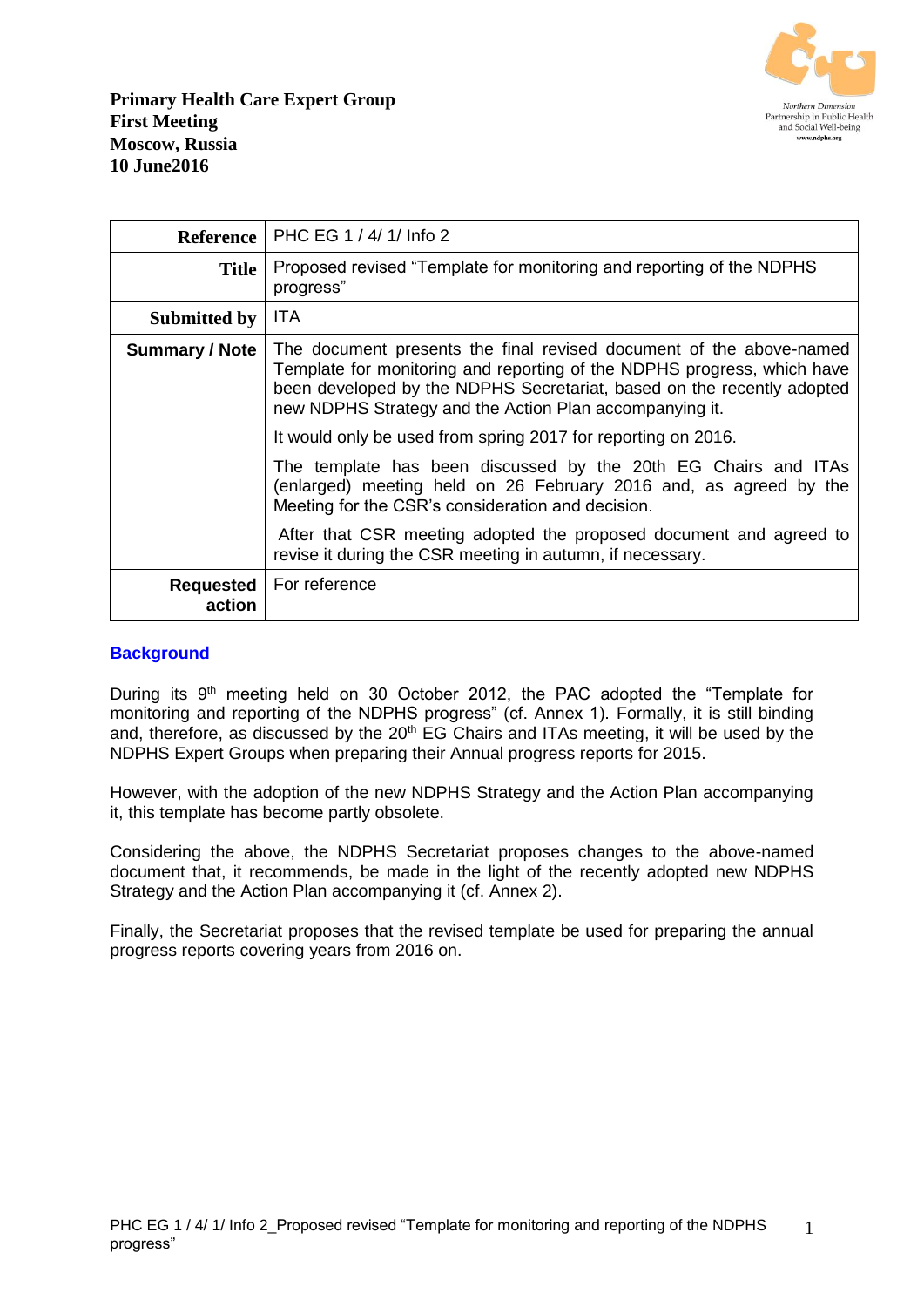

|                       | Reference   PHC EG 1 / 4/ 1/ Info 2                                                                                                                                                                                                                                                 |
|-----------------------|-------------------------------------------------------------------------------------------------------------------------------------------------------------------------------------------------------------------------------------------------------------------------------------|
| <b>Title</b>          | Proposed revised "Template for monitoring and reporting of the NDPHS<br>progress"                                                                                                                                                                                                   |
| Submitted by          | ITA.                                                                                                                                                                                                                                                                                |
| <b>Summary / Note</b> | The document presents the final revised document of the above-named<br>Template for monitoring and reporting of the NDPHS progress, which have<br>been developed by the NDPHS Secretariat, based on the recently adopted<br>new NDPHS Strategy and the Action Plan accompanying it. |
|                       | It would only be used from spring 2017 for reporting on 2016.                                                                                                                                                                                                                       |
|                       | The template has been discussed by the 20th EG Chairs and ITAs<br>(enlarged) meeting held on 26 February 2016 and, as agreed by the<br>Meeting for the CSR's consideration and decision.                                                                                            |
|                       | After that CSR meeting adopted the proposed document and agreed to<br>revise it during the CSR meeting in autumn, if necessary.                                                                                                                                                     |
| Requested<br>action   | For reference                                                                                                                                                                                                                                                                       |

#### **Background**

During its 9<sup>th</sup> meeting held on 30 October 2012, the PAC adopted the "Template for monitoring and reporting of the NDPHS progress" (cf. Annex 1). Formally, it is still binding and, therefore, as discussed by the 20<sup>th</sup> EG Chairs and ITAs meeting, it will be used by the NDPHS Expert Groups when preparing their Annual progress reports for 2015.

However, with the adoption of the new NDPHS Strategy and the Action Plan accompanying it, this template has become partly obsolete.

Considering the above, the NDPHS Secretariat proposes changes to the above-named document that, it recommends, be made in the light of the recently adopted new NDPHS Strategy and the Action Plan accompanying it (cf. Annex 2).

Finally, the Secretariat proposes that the revised template be used for preparing the annual progress reports covering years from 2016 on.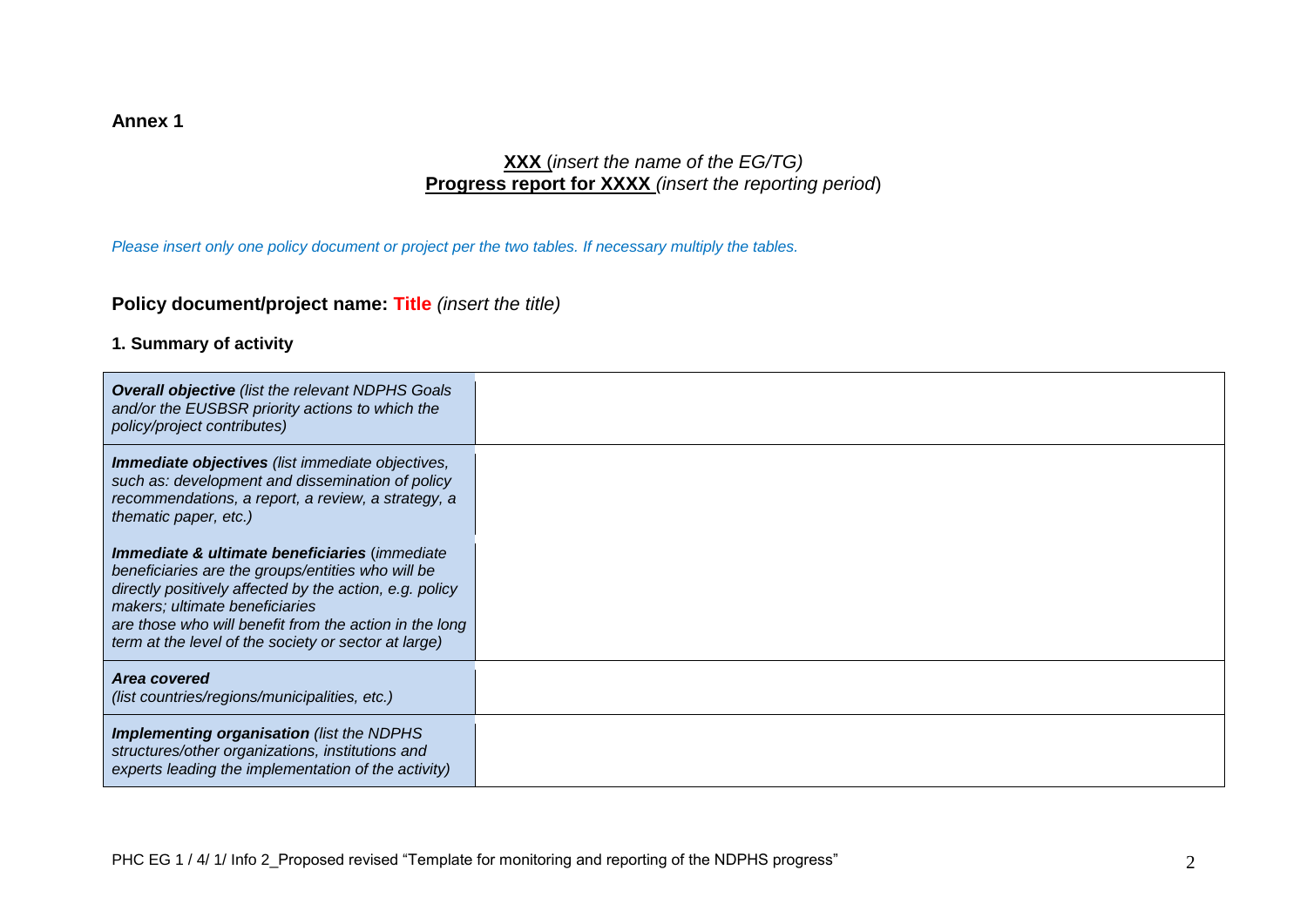#### **Annex 1**

## **XXX** (*insert the name of the EG/TG)* **Progress report for XXXX** *(insert the reporting period*)

*Please insert only one policy document or project per the two tables. If necessary multiply the tables.*

#### **Policy document/project name: Title** *(insert the title)*

#### **1. Summary of activity**

| <b>Overall objective</b> (list the relevant NDPHS Goals<br>and/or the EUSBSR priority actions to which the<br>policy/project contributes)                                                                                                                                                                                    |  |
|------------------------------------------------------------------------------------------------------------------------------------------------------------------------------------------------------------------------------------------------------------------------------------------------------------------------------|--|
| <b>Immediate objectives</b> (list immediate objectives,<br>such as: development and dissemination of policy<br>recommendations, a report, a review, a strategy, a<br>thematic paper, etc.)                                                                                                                                   |  |
| <b>Immediate &amp; ultimate beneficiaries (immediate</b><br>beneficiaries are the groups/entities who will be<br>directly positively affected by the action, e.g. policy<br>makers; ultimate beneficiaries<br>are those who will benefit from the action in the long<br>term at the level of the society or sector at large) |  |
| Area covered<br>(list countries/regions/municipalities, etc.)                                                                                                                                                                                                                                                                |  |
| <b>Implementing organisation</b> (list the NDPHS)<br>structures/other organizations, institutions and<br>experts leading the implementation of the activity)                                                                                                                                                                 |  |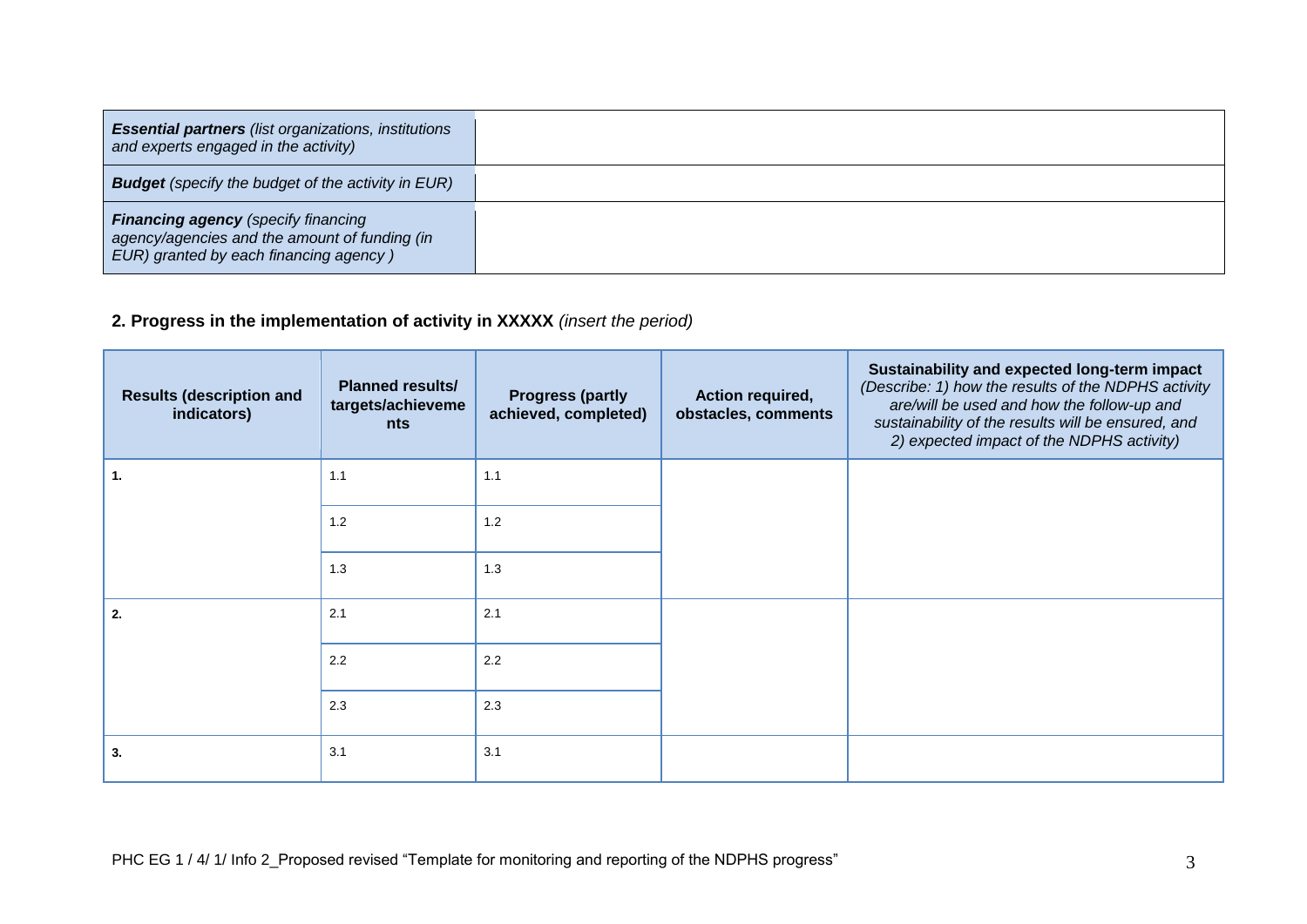| <b>Essential partners</b> (list organizations, institutions<br>and experts engaged in the activity)                                   |  |
|---------------------------------------------------------------------------------------------------------------------------------------|--|
| <b>Budget</b> (specify the budget of the activity in EUR)                                                                             |  |
| <b>Financing agency</b> (specify financing<br>agency/agencies and the amount of funding (in<br>EUR) granted by each financing agency) |  |

## **2. Progress in the implementation of activity in XXXXX** *(insert the period)*

| <b>Results (description and</b><br>indicators) | <b>Planned results/</b><br>targets/achieveme<br><b>nts</b> | <b>Progress (partly</b><br>achieved, completed) | Action required,<br>obstacles, comments | Sustainability and expected long-term impact<br>(Describe: 1) how the results of the NDPHS activity<br>are/will be used and how the follow-up and<br>sustainability of the results will be ensured, and<br>2) expected impact of the NDPHS activity) |
|------------------------------------------------|------------------------------------------------------------|-------------------------------------------------|-----------------------------------------|------------------------------------------------------------------------------------------------------------------------------------------------------------------------------------------------------------------------------------------------------|
| 1.                                             | 1.1                                                        | 1.1                                             |                                         |                                                                                                                                                                                                                                                      |
|                                                | 1.2                                                        | 1.2                                             |                                         |                                                                                                                                                                                                                                                      |
|                                                | 1.3                                                        | 1.3                                             |                                         |                                                                                                                                                                                                                                                      |
| 2.                                             | 2.1                                                        | 2.1                                             |                                         |                                                                                                                                                                                                                                                      |
|                                                | 2.2                                                        | 2.2                                             |                                         |                                                                                                                                                                                                                                                      |
|                                                | 2.3                                                        | 2.3                                             |                                         |                                                                                                                                                                                                                                                      |
| 3.                                             | 3.1                                                        | 3.1                                             |                                         |                                                                                                                                                                                                                                                      |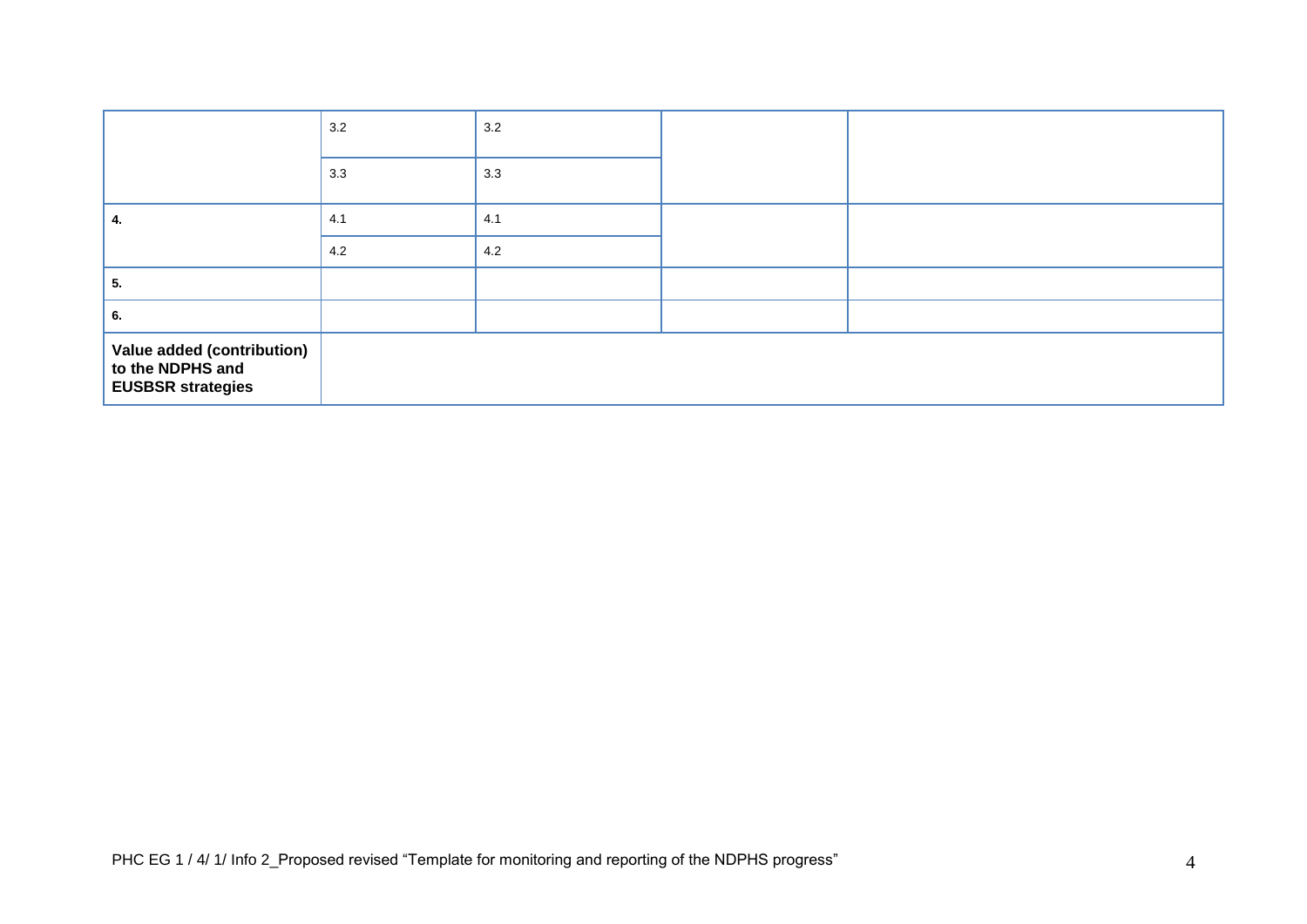|                                                                            | 3.2 | 3.2 |  |
|----------------------------------------------------------------------------|-----|-----|--|
|                                                                            | 3.3 | 3.3 |  |
|                                                                            | 4.1 | 4.1 |  |
|                                                                            | 4.2 | 4.2 |  |
| 5.                                                                         |     |     |  |
| 6.                                                                         |     |     |  |
| Value added (contribution)<br>to the NDPHS and<br><b>EUSBSR strategies</b> |     |     |  |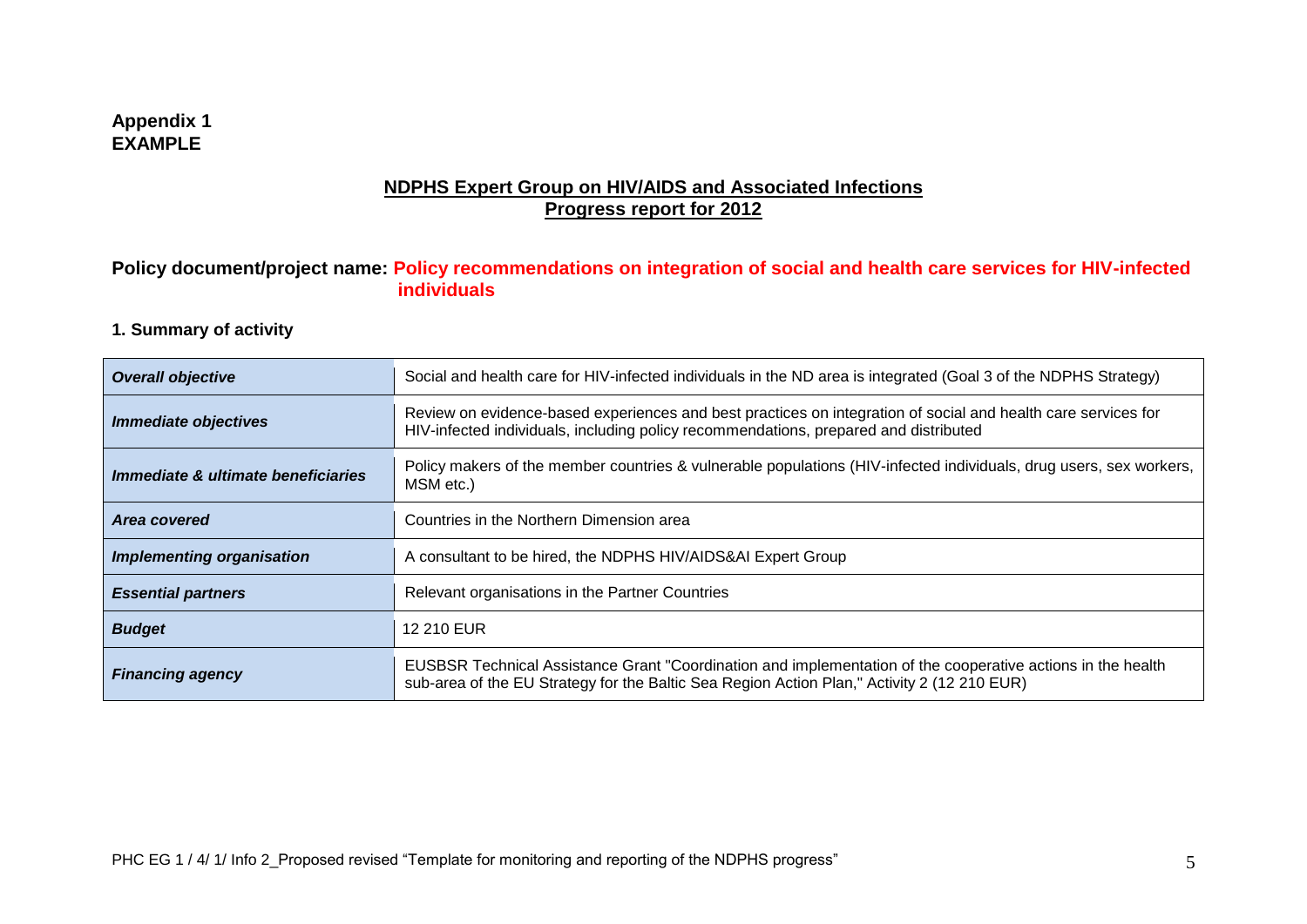#### **Appendix 1 EXAMPLE**

### **NDPHS Expert Group on HIV/AIDS and Associated Infections Progress report for 2012**

#### **Policy document/project name: Policy recommendations on integration of social and health care services for HIV-infected individuals**

#### **1. Summary of activity**

| <b>Overall objective</b>           | Social and health care for HIV-infected individuals in the ND area is integrated (Goal 3 of the NDPHS Strategy)                                                                                            |
|------------------------------------|------------------------------------------------------------------------------------------------------------------------------------------------------------------------------------------------------------|
| <b>Immediate objectives</b>        | Review on evidence-based experiences and best practices on integration of social and health care services for<br>HIV-infected individuals, including policy recommendations, prepared and distributed      |
| Immediate & ultimate beneficiaries | Policy makers of the member countries & vulnerable populations (HIV-infected individuals, drug users, sex workers,<br>MSM etc.)                                                                            |
| Area covered                       | Countries in the Northern Dimension area                                                                                                                                                                   |
| <b>Implementing organisation</b>   | A consultant to be hired, the NDPHS HIV/AIDS&AI Expert Group                                                                                                                                               |
| <b>Essential partners</b>          | Relevant organisations in the Partner Countries                                                                                                                                                            |
| <b>Budget</b>                      | 12 210 EUR                                                                                                                                                                                                 |
| <b>Financing agency</b>            | EUSBSR Technical Assistance Grant "Coordination and implementation of the cooperative actions in the health<br>sub-area of the EU Strategy for the Baltic Sea Region Action Plan," Activity 2 (12 210 EUR) |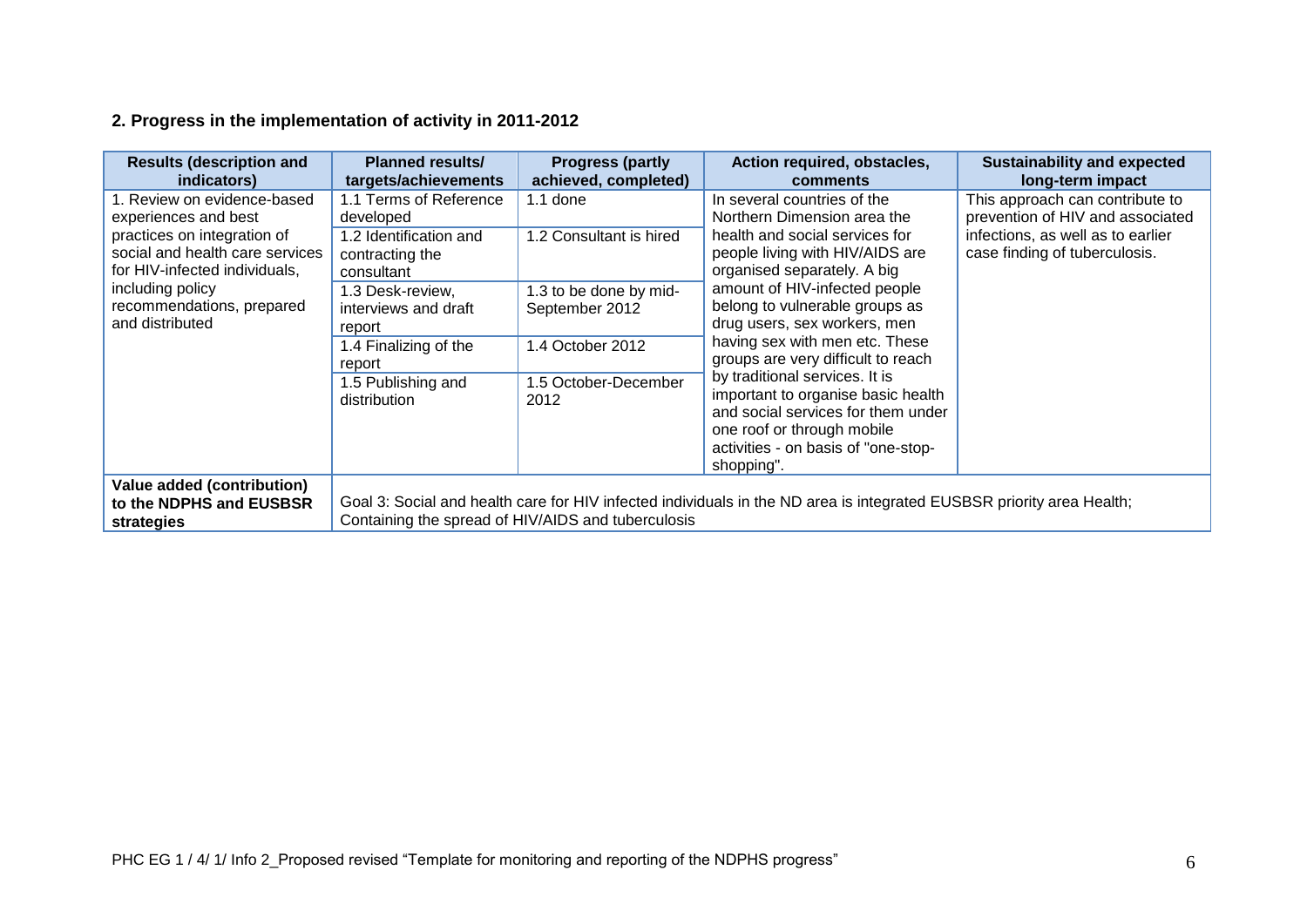# **2. Progress in the implementation of activity in 2011-2012**

| <b>Results (description and</b><br>indicators)                                                                                                                                                          | <b>Planned results/</b><br>targets/achievements                                                                                                                                                                                                                                                                                                                                                                                    | <b>Progress (partly</b><br>achieved, completed)    | Action required, obstacles,<br>comments                                                                                                                                                       | <b>Sustainability and expected</b><br>long-term impact |
|---------------------------------------------------------------------------------------------------------------------------------------------------------------------------------------------------------|------------------------------------------------------------------------------------------------------------------------------------------------------------------------------------------------------------------------------------------------------------------------------------------------------------------------------------------------------------------------------------------------------------------------------------|----------------------------------------------------|-----------------------------------------------------------------------------------------------------------------------------------------------------------------------------------------------|--------------------------------------------------------|
| 1. Review on evidence-based<br>experiences and best<br>practices on integration of<br>social and health care services<br>for HIV-infected individuals,<br>including policy<br>recommendations, prepared | 1.1 Terms of Reference<br>$1.1$ done<br>In several countries of the<br>Northern Dimension area the<br>developed<br>health and social services for<br>1.2 Consultant is hired<br>1.2 Identification and<br>people living with HIV/AIDS are<br>contracting the<br>organised separately. A big<br>consultant<br>amount of HIV-infected people<br>1.3 to be done by mid-<br>1.3 Desk-review,<br>interviews and draft<br>September 2012 | belong to vulnerable groups as                     | This approach can contribute to<br>prevention of HIV and associated<br>infections, as well as to earlier<br>case finding of tuberculosis.                                                     |                                                        |
| and distributed                                                                                                                                                                                         | report<br>1.4 Finalizing of the<br>report                                                                                                                                                                                                                                                                                                                                                                                          | 1.4 October 2012                                   | drug users, sex workers, men<br>having sex with men etc. These<br>groups are very difficult to reach                                                                                          |                                                        |
|                                                                                                                                                                                                         | 1.5 Publishing and<br>distribution                                                                                                                                                                                                                                                                                                                                                                                                 | 1.5 October-December<br>2012                       | by traditional services. It is<br>important to organise basic health<br>and social services for them under<br>one roof or through mobile<br>activities - on basis of "one-stop-<br>shopping". |                                                        |
| <b>Value added (contribution)</b><br>to the NDPHS and EUSBSR<br>strategies                                                                                                                              |                                                                                                                                                                                                                                                                                                                                                                                                                                    | Containing the spread of HIV/AIDS and tuberculosis | Goal 3: Social and health care for HIV infected individuals in the ND area is integrated EUSBSR priority area Health;                                                                         |                                                        |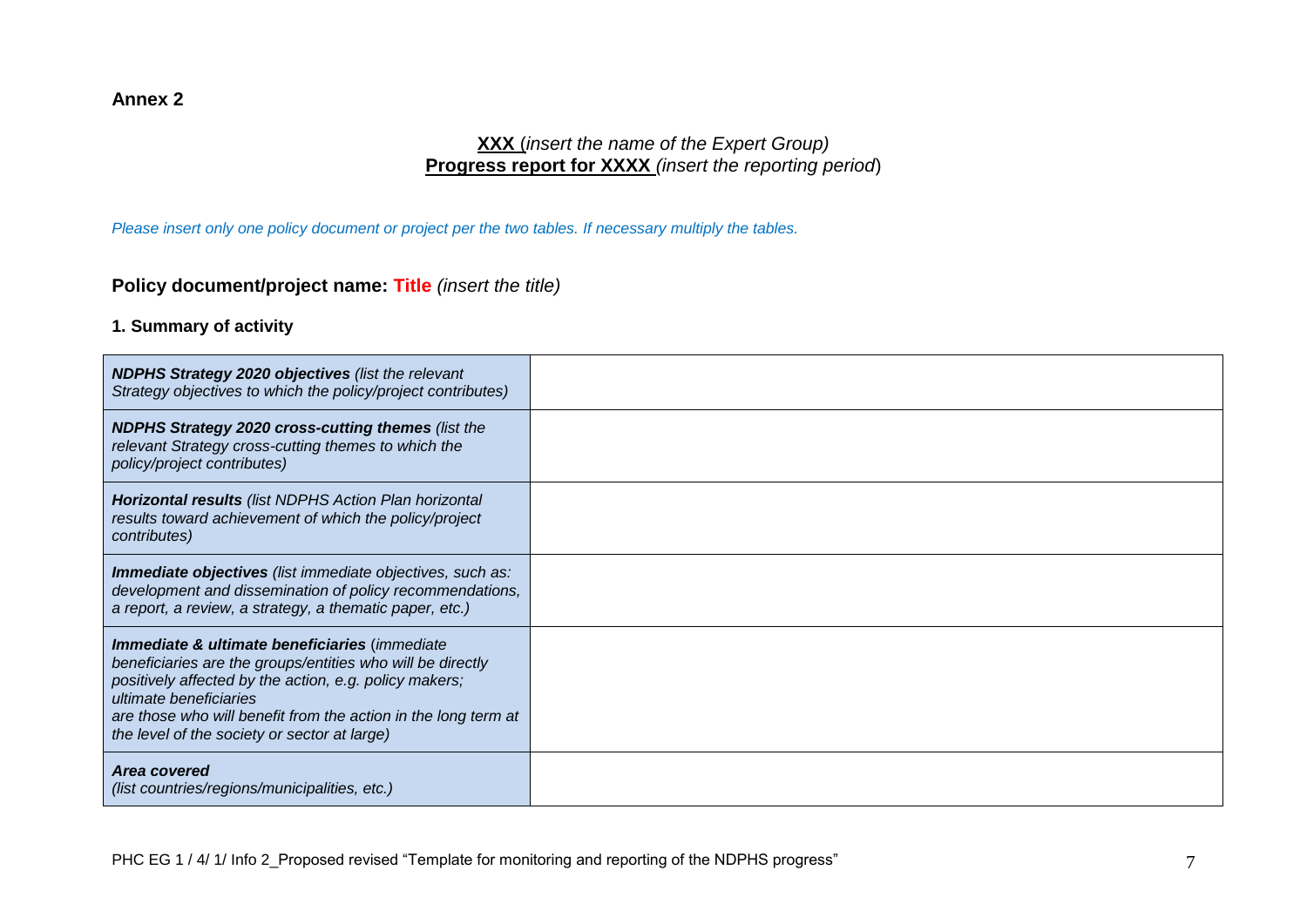#### **Annex 2**

### **XXX** (*insert the name of the Expert Group)* **Progress report for XXXX** *(insert the reporting period*)

*Please insert only one policy document or project per the two tables. If necessary multiply the tables.*

## **Policy document/project name: Title** *(insert the title)*

**1. Summary of activity**

| <b>NDPHS Strategy 2020 objectives (list the relevant</b><br>Strategy objectives to which the policy/project contributes)                                                                                                                                                                                          |  |
|-------------------------------------------------------------------------------------------------------------------------------------------------------------------------------------------------------------------------------------------------------------------------------------------------------------------|--|
| <b>NDPHS Strategy 2020 cross-cutting themes (list the</b><br>relevant Strategy cross-cutting themes to which the<br>policy/project contributes)                                                                                                                                                                   |  |
| <b>Horizontal results</b> (list NDPHS Action Plan horizontal<br>results toward achievement of which the policy/project<br>contributes)                                                                                                                                                                            |  |
| <b>Immediate objectives</b> (list immediate objectives, such as:<br>development and dissemination of policy recommendations,<br>a report, a review, a strategy, a thematic paper, etc.)                                                                                                                           |  |
| Immediate & ultimate beneficiaries (immediate<br>beneficiaries are the groups/entities who will be directly<br>positively affected by the action, e.g. policy makers;<br>ultimate beneficiaries<br>are those who will benefit from the action in the long term at<br>the level of the society or sector at large) |  |
| Area covered<br>(list countries/regions/municipalities, etc.)                                                                                                                                                                                                                                                     |  |